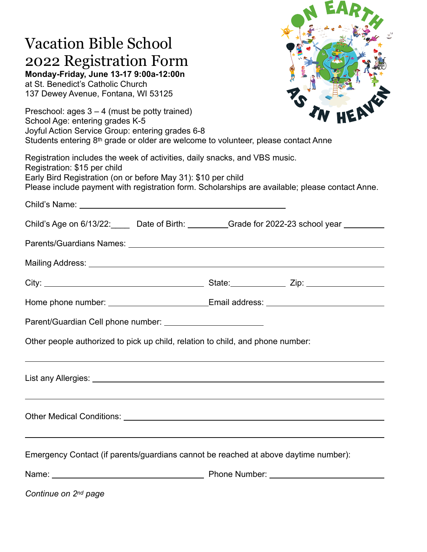| <b>Vacation Bible School</b><br>2022 Registration Form<br>Monday-Friday, June 13-17 9:00a-12:00n<br>at St. Benedict's Catholic Church<br>137 Dewey Avenue, Fontana, WI 53125                                                                                                   |  |
|--------------------------------------------------------------------------------------------------------------------------------------------------------------------------------------------------------------------------------------------------------------------------------|--|
| Preschool: ages $3 - 4$ (must be potty trained)<br>School Age: entering grades K-5<br>Joyful Action Service Group: entering grades 6-8<br>Students entering 8 <sup>th</sup> grade or older are welcome to volunteer, please contact Anne                                       |  |
| Registration includes the week of activities, daily snacks, and VBS music.<br>Registration: \$15 per child<br>Early Bird Registration (on or before May 31): \$10 per child<br>Please include payment with registration form. Scholarships are available; please contact Anne. |  |
|                                                                                                                                                                                                                                                                                |  |
| Child's Age on 6/13/22: Date of Birth: Child's Age on 6/13/22:                                                                                                                                                                                                                 |  |
| Parents/Guardians Names: Names: 2008 and 2008 and 2008 and 2008 and 2008 and 2008 and 2008 and 2008 and 2008 a                                                                                                                                                                 |  |
|                                                                                                                                                                                                                                                                                |  |
|                                                                                                                                                                                                                                                                                |  |
|                                                                                                                                                                                                                                                                                |  |
|                                                                                                                                                                                                                                                                                |  |
| Other people authorized to pick up child, relation to child, and phone number:                                                                                                                                                                                                 |  |
|                                                                                                                                                                                                                                                                                |  |
|                                                                                                                                                                                                                                                                                |  |
| ,我们也不会有什么。""我们的人,我们也不会有什么?""我们的人,我们也不会有什么?""我们的人,我们也不会有什么?""我们的人,我们也不会有什么?""我们的人<br>Emergency Contact (if parents/guardians cannot be reached at above daytime number):                                                                                                        |  |
|                                                                                                                                                                                                                                                                                |  |
| Continue on 2nd page                                                                                                                                                                                                                                                           |  |